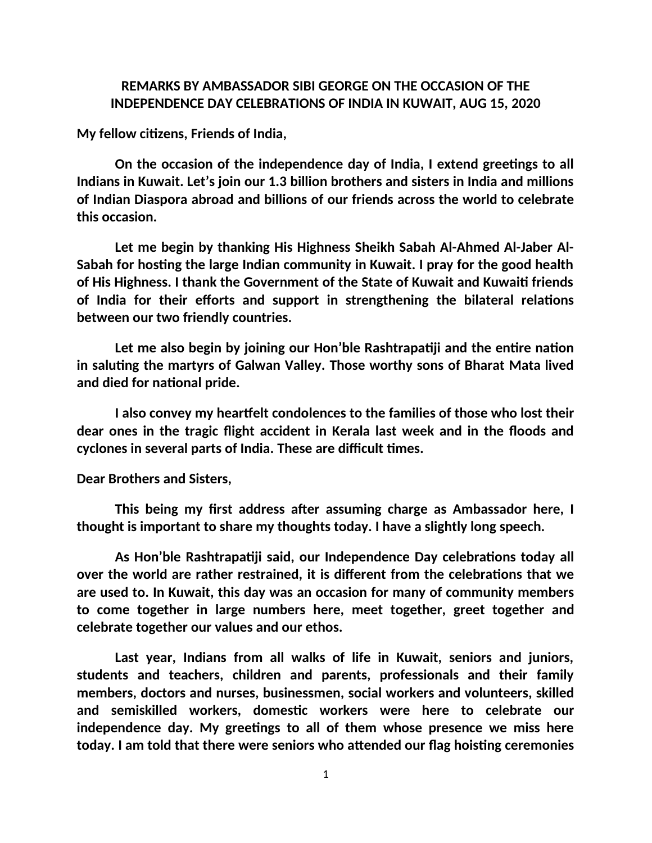# **REMARKS BY AMBASSADOR SIBI GEORGE ON THE OCCASION OF THE INDEPENDENCE DAY CELEBRATIONS OF INDIA IN KUWAIT, AUG 15, 2020**

**My fellow citizens, Friends of India,**

**On the occasion of the independence day of India, I extend greetings to all Indians in Kuwait. Let's join our 1.3 billion brothers and sisters in India and millions of Indian Diaspora abroad and billions of our friends across the world to celebrate this occasion.** 

**Let me begin by thanking His Highness Sheikh Sabah Al-Ahmed Al-Jaber Al-Sabah for hosting the large Indian community in Kuwait. I pray for the good health of His Highness. I thank the Government of the State of Kuwait and Kuwaiti friends of India for their efforts and support in strengthening the bilateral relations between our two friendly countries.** 

**Let me also begin by joining our Hon'ble Rashtrapatiji and the entire nation in saluting the martyrs of Galwan Valley. Those worthy sons of Bharat Mata lived and died for national pride.**

**I also convey my heartfelt condolences to the families of those who lost their dear ones in the tragic flight accident in Kerala last week and in the floods and cyclones in several parts of India. These are difficult times.**

**Dear Brothers and Sisters,**

**This being my first address after assuming charge as Ambassador here, I thought is important to share my thoughts today. I have a slightly long speech.** 

**As Hon'ble Rashtrapatiji said, our Independence Day celebrations today all over the world are rather restrained, it is different from the celebrations that we are used to. In Kuwait, this day was an occasion for many of community members to come together in large numbers here, meet together, greet together and celebrate together our values and our ethos.** 

**Last year, Indians from all walks of life in Kuwait, seniors and juniors, students and teachers, children and parents, professionals and their family members, doctors and nurses, businessmen, social workers and volunteers, skilled and semiskilled workers, domestic workers were here to celebrate our independence day. My greetings to all of them whose presence we miss here today. I am told that there were seniors who attended our flag hoisting ceremonies**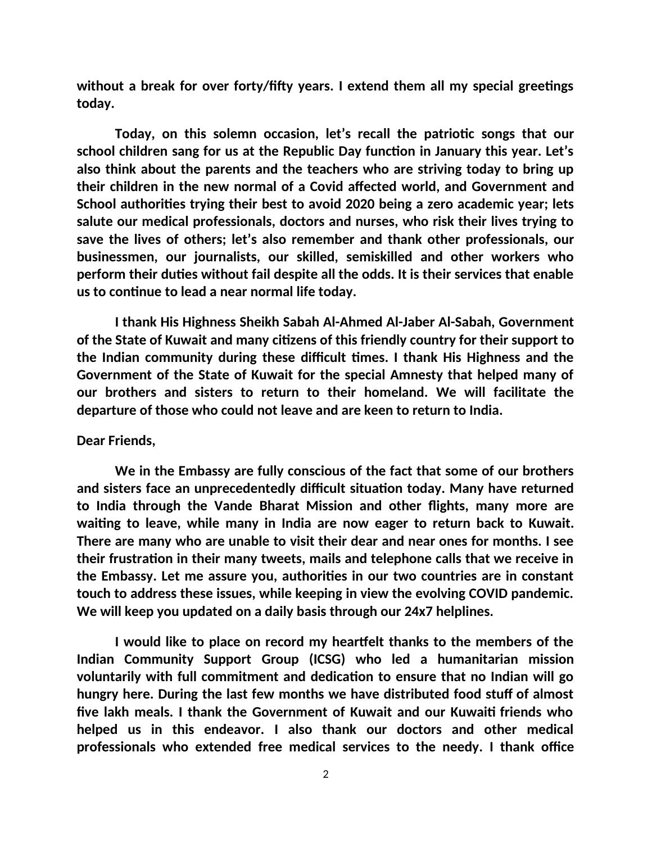**without a break for over forty/fifty years. I extend them all my special greetings today.** 

**Today, on this solemn occasion, let's recall the patriotic songs that our school children sang for us at the Republic Day function in January this year. Let's also think about the parents and the teachers who are striving today to bring up their children in the new normal of a Covid affected world, and Government and School authorities trying their best to avoid 2020 being a zero academic year; lets salute our medical professionals, doctors and nurses, who risk their lives trying to save the lives of others; let's also remember and thank other professionals, our businessmen, our journalists, our skilled, semiskilled and other workers who perform their duties without fail despite all the odds. It is their services that enable us to continue to lead a near normal life today.** 

**I thank His Highness Sheikh Sabah Al-Ahmed Al-Jaber Al-Sabah, Government of the State of Kuwait and many citizens of this friendly country for their support to the Indian community during these difficult times. I thank His Highness and the Government of the State of Kuwait for the special Amnesty that helped many of our brothers and sisters to return to their homeland. We will facilitate the departure of those who could not leave and are keen to return to India.**

#### **Dear Friends,**

**We in the Embassy are fully conscious of the fact that some of our brothers and sisters face an unprecedentedly difficult situation today. Many have returned to India through the Vande Bharat Mission and other flights, many more are waiting to leave, while many in India are now eager to return back to Kuwait. There are many who are unable to visit their dear and near ones for months. I see their frustration in their many tweets, mails and telephone calls that we receive in the Embassy. Let me assure you, authorities in our two countries are in constant touch to address these issues, while keeping in view the evolving COVID pandemic. We will keep you updated on a daily basis through our 24x7 helplines.** 

**I would like to place on record my heartfelt thanks to the members of the Indian Community Support Group (ICSG) who led a humanitarian mission voluntarily with full commitment and dedication to ensure that no Indian will go hungry here. During the last few months we have distributed food stuff of almost five lakh meals. I thank the Government of Kuwait and our Kuwaiti friends who helped us in this endeavor. I also thank our doctors and other medical professionals who extended free medical services to the needy. I thank office**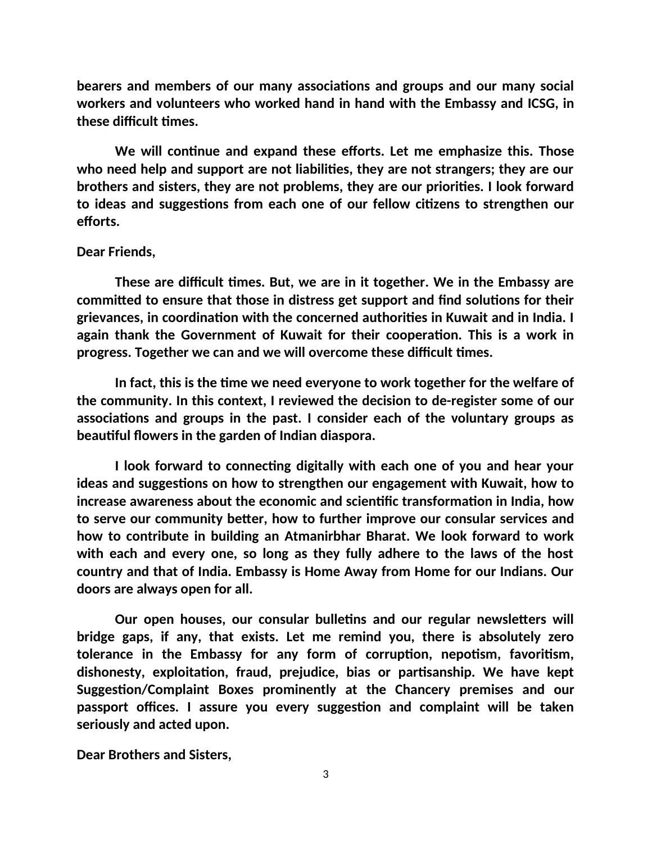**bearers and members of our many associations and groups and our many social workers and volunteers who worked hand in hand with the Embassy and ICSG, in these difficult times.**

**We will continue and expand these efforts. Let me emphasize this. Those who need help and support are not liabilities, they are not strangers; they are our brothers and sisters, they are not problems, they are our priorities. I look forward to ideas and suggestions from each one of our fellow citizens to strengthen our efforts.** 

#### **Dear Friends,**

**These are difficult times. But, we are in it together. We in the Embassy are committed to ensure that those in distress get support and find solutions for their grievances, in coordination with the concerned authorities in Kuwait and in India. I again thank the Government of Kuwait for their cooperation. This is a work in progress. Together we can and we will overcome these difficult times.** 

**In fact, this is the time we need everyone to work together for the welfare of the community. In this context, I reviewed the decision to de-register some of our associations and groups in the past. I consider each of the voluntary groups as beautiful flowers in the garden of Indian diaspora.** 

**I look forward to connecting digitally with each one of you and hear your ideas and suggestions on how to strengthen our engagement with Kuwait, how to increase awareness about the economic and scientific transformation in India, how to serve our community better, how to further improve our consular services and how to contribute in building an Atmanirbhar Bharat. We look forward to work with each and every one, so long as they fully adhere to the laws of the host country and that of India. Embassy is Home Away from Home for our Indians. Our doors are always open for all.** 

**Our open houses, our consular bulletins and our regular newsletters will bridge gaps, if any, that exists. Let me remind you, there is absolutely zero tolerance in the Embassy for any form of corruption, nepotism, favoritism, dishonesty, exploitation, fraud, prejudice, bias or partisanship. We have kept Suggestion/Complaint Boxes prominently at the Chancery premises and our passport offices. I assure you every suggestion and complaint will be taken seriously and acted upon.** 

**Dear Brothers and Sisters,**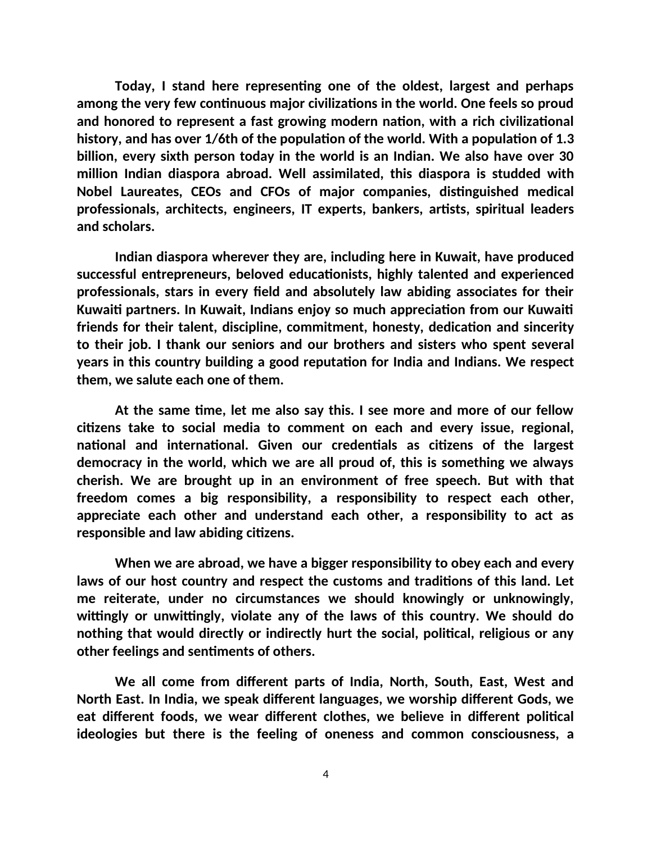**Today, I stand here representing one of the oldest, largest and perhaps among the very few continuous major civilizations in the world. One feels so proud and honored to represent a fast growing modern nation, with a rich civilizational history, and has over 1/6th of the population of the world. With a population of 1.3 billion, every sixth person today in the world is an Indian. We also have over 30 million Indian diaspora abroad. Well assimilated, this diaspora is studded with Nobel Laureates, CEOs and CFOs of major companies, distinguished medical professionals, architects, engineers, IT experts, bankers, artists, spiritual leaders and scholars.** 

**Indian diaspora wherever they are, including here in Kuwait, have produced successful entrepreneurs, beloved educationists, highly talented and experienced professionals, stars in every field and absolutely law abiding associates for their Kuwaiti partners. In Kuwait, Indians enjoy so much appreciation from our Kuwaiti friends for their talent, discipline, commitment, honesty, dedication and sincerity to their job. I thank our seniors and our brothers and sisters who spent several years in this country building a good reputation for India and Indians. We respect them, we salute each one of them.** 

**At the same time, let me also say this. I see more and more of our fellow citizens take to social media to comment on each and every issue, regional, national and international. Given our credentials as citizens of the largest democracy in the world, which we are all proud of, this is something we always cherish. We are brought up in an environment of free speech. But with that freedom comes a big responsibility, a responsibility to respect each other, appreciate each other and understand each other, a responsibility to act as responsible and law abiding citizens.** 

**When we are abroad, we have a bigger responsibility to obey each and every laws of our host country and respect the customs and traditions of this land. Let me reiterate, under no circumstances we should knowingly or unknowingly, wittingly or unwittingly, violate any of the laws of this country. We should do nothing that would directly or indirectly hurt the social, political, religious or any other feelings and sentiments of others.** 

**We all come from different parts of India, North, South, East, West and North East. In India, we speak different languages, we worship different Gods, we eat different foods, we wear different clothes, we believe in different political ideologies but there is the feeling of oneness and common consciousness, a**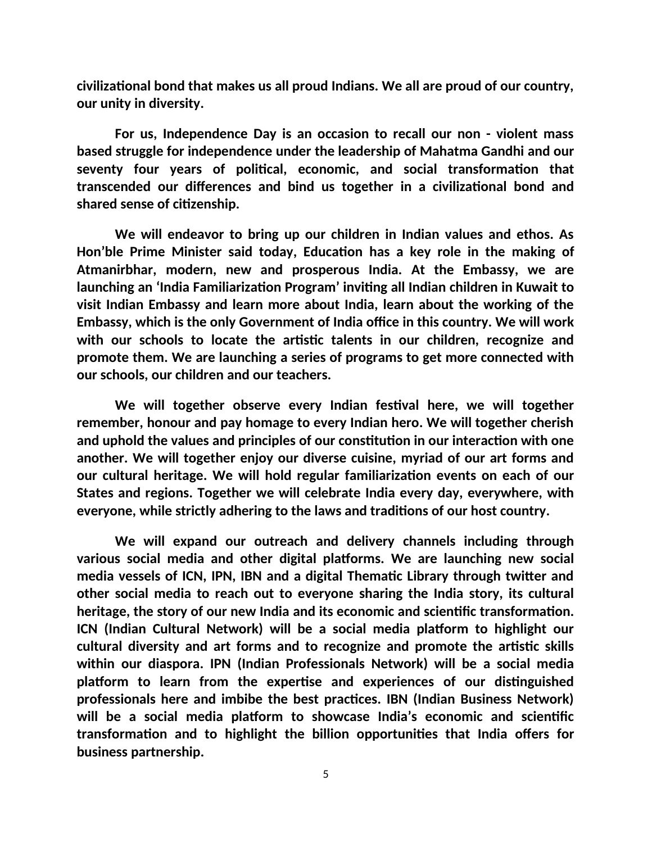**civilizational bond that makes us all proud Indians. We all are proud of our country, our unity in diversity.** 

**For us, Independence Day is an occasion to recall our non - violent mass based struggle for independence under the leadership of Mahatma Gandhi and our seventy four years of political, economic, and social transformation that transcended our differences and bind us together in a civilizational bond and shared sense of citizenship.**

**We will endeavor to bring up our children in Indian values and ethos. As Hon'ble Prime Minister said today, Education has a key role in the making of Atmanirbhar, modern, new and prosperous India. At the Embassy, we are launching an 'India Familiarization Program' inviting all Indian children in Kuwait to visit Indian Embassy and learn more about India, learn about the working of the Embassy, which is the only Government of India office in this country. We will work with our schools to locate the artistic talents in our children, recognize and promote them. We are launching a series of programs to get more connected with our schools, our children and our teachers.** 

**We will together observe every Indian festival here, we will together remember, honour and pay homage to every Indian hero. We will together cherish and uphold the values and principles of our constitution in our interaction with one another. We will together enjoy our diverse cuisine, myriad of our art forms and our cultural heritage. We will hold regular familiarization events on each of our States and regions. Together we will celebrate India every day, everywhere, with everyone, while strictly adhering to the laws and traditions of our host country.** 

**We will expand our outreach and delivery channels including through various social media and other digital platforms. We are launching new social media vessels of ICN, IPN, IBN and a digital Thematic Library through twitter and other social media to reach out to everyone sharing the India story, its cultural heritage, the story of our new India and its economic and scientific transformation. ICN (Indian Cultural Network) will be a social media platform to highlight our cultural diversity and art forms and to recognize and promote the artistic skills within our diaspora. IPN (Indian Professionals Network) will be a social media platform to learn from the expertise and experiences of our distinguished professionals here and imbibe the best practices. IBN (Indian Business Network) will be a social media platform to showcase India's economic and scientific transformation and to highlight the billion opportunities that India offers for business partnership.**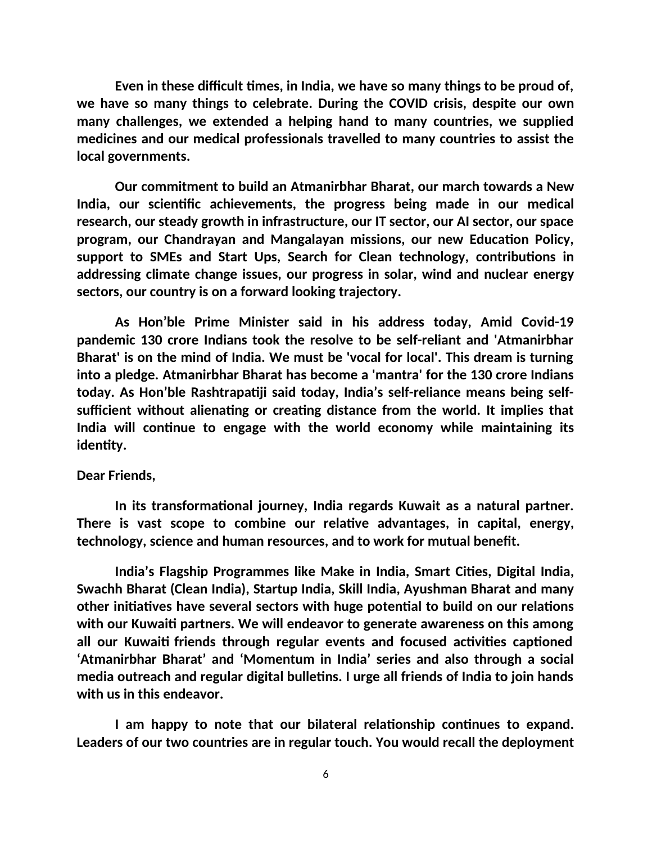**Even in these difficult times, in India, we have so many things to be proud of, we have so many things to celebrate. During the COVID crisis, despite our own many challenges, we extended a helping hand to many countries, we supplied medicines and our medical professionals travelled to many countries to assist the local governments.** 

**Our commitment to build an Atmanirbhar Bharat, our march towards a New India, our scientific achievements, the progress being made in our medical research, our steady growth in infrastructure, our IT sector, our AI sector, our space program, our Chandrayan and Mangalayan missions, our new Education Policy, support to SMEs and Start Ups, Search for Clean technology, contributions in addressing climate change issues, our progress in solar, wind and nuclear energy sectors, our country is on a forward looking trajectory.** 

**As Hon'ble Prime Minister said in his address today, Amid Covid-19 pandemic 130 crore Indians took the resolve to be self-reliant and 'Atmanirbhar Bharat' is on the mind of India. We must be 'vocal for local'. This dream is turning into a pledge. Atmanirbhar Bharat has become a 'mantra' for the 130 crore Indians today. As Hon'ble Rashtrapatiji said today, India's self-reliance means being selfsufficient without alienating or creating distance from the world. It implies that India will continue to engage with the world economy while maintaining its identity.**

### **Dear Friends,**

**In its transformational journey, India regards Kuwait as a natural partner. There is vast scope to combine our relative advantages, in capital, energy, technology, science and human resources, and to work for mutual benefit.** 

**India's Flagship Programmes like Make in India, Smart Cities, Digital India, Swachh Bharat (Clean India), Startup India, Skill India, Ayushman Bharat and many other initiatives have several sectors with huge potential to build on our relations with our Kuwaiti partners. We will endeavor to generate awareness on this among all our Kuwaiti friends through regular events and focused activities captioned 'Atmanirbhar Bharat' and 'Momentum in India' series and also through a social media outreach and regular digital bulletins. I urge all friends of India to join hands with us in this endeavor.** 

**I am happy to note that our bilateral relationship continues to expand. Leaders of our two countries are in regular touch. You would recall the deployment**